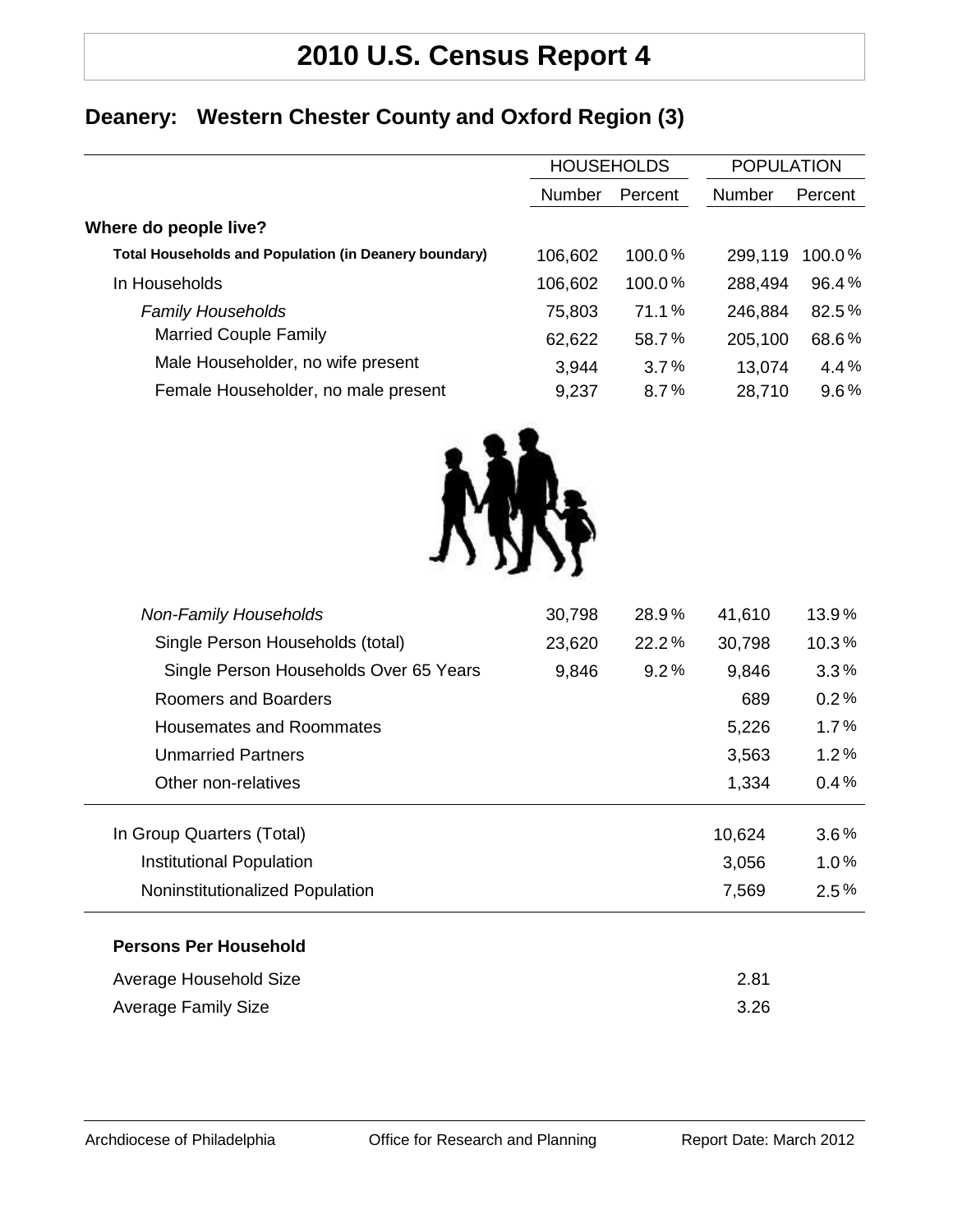## **2010 U.S. Census Report 4**

### **Deanery: Western Chester County and Oxford Region (3)**

| <b>HOUSEHOLDS</b> |         | <b>POPULATION</b> |         |
|-------------------|---------|-------------------|---------|
| <b>Number</b>     | Percent | <b>Number</b>     | Percent |
|                   |         |                   |         |
| 106,602           | 100.0%  | 299,119           | 100.0%  |
| 106,602           | 100.0%  | 288,494           | 96.4%   |
| 75,803            | 71.1%   | 246,884           | 82.5%   |
| 62,622            | 58.7%   | 205,100           | 68.6%   |
| 3,944             | 3.7%    | 13,074            | 4.4%    |
| 9,237             | 8.7%    | 28,710            | 9.6%    |
|                   |         |                   |         |



| <b>Non-Family Households</b>           | 30,798 | 28.9% | 41,610 | 13.9%   |
|----------------------------------------|--------|-------|--------|---------|
| Single Person Households (total)       | 23,620 | 22.2% | 30,798 | 10.3%   |
| Single Person Households Over 65 Years | 9,846  | 9.2%  | 9,846  | $3.3\%$ |
| Roomers and Boarders                   |        |       | 689    | 0.2%    |
| Housemates and Roommates               |        |       | 5,226  | 1.7%    |
| <b>Unmarried Partners</b>              |        |       | 3,563  | 1.2%    |
| Other non-relatives                    |        |       | 1,334  | $0.4\%$ |
| In Group Quarters (Total)              |        |       | 10,624 | $3.6\%$ |
| <b>Institutional Population</b>        |        |       | 3,056  | 1.0%    |
| Noninstitutionalized Population        |        |       | 7,569  | $2.5\%$ |
| <b>Persons Per Household</b>           |        |       |        |         |
| Average Household Size                 |        |       | 2.81   |         |
| <b>Average Family Size</b>             |        |       | 3.26   |         |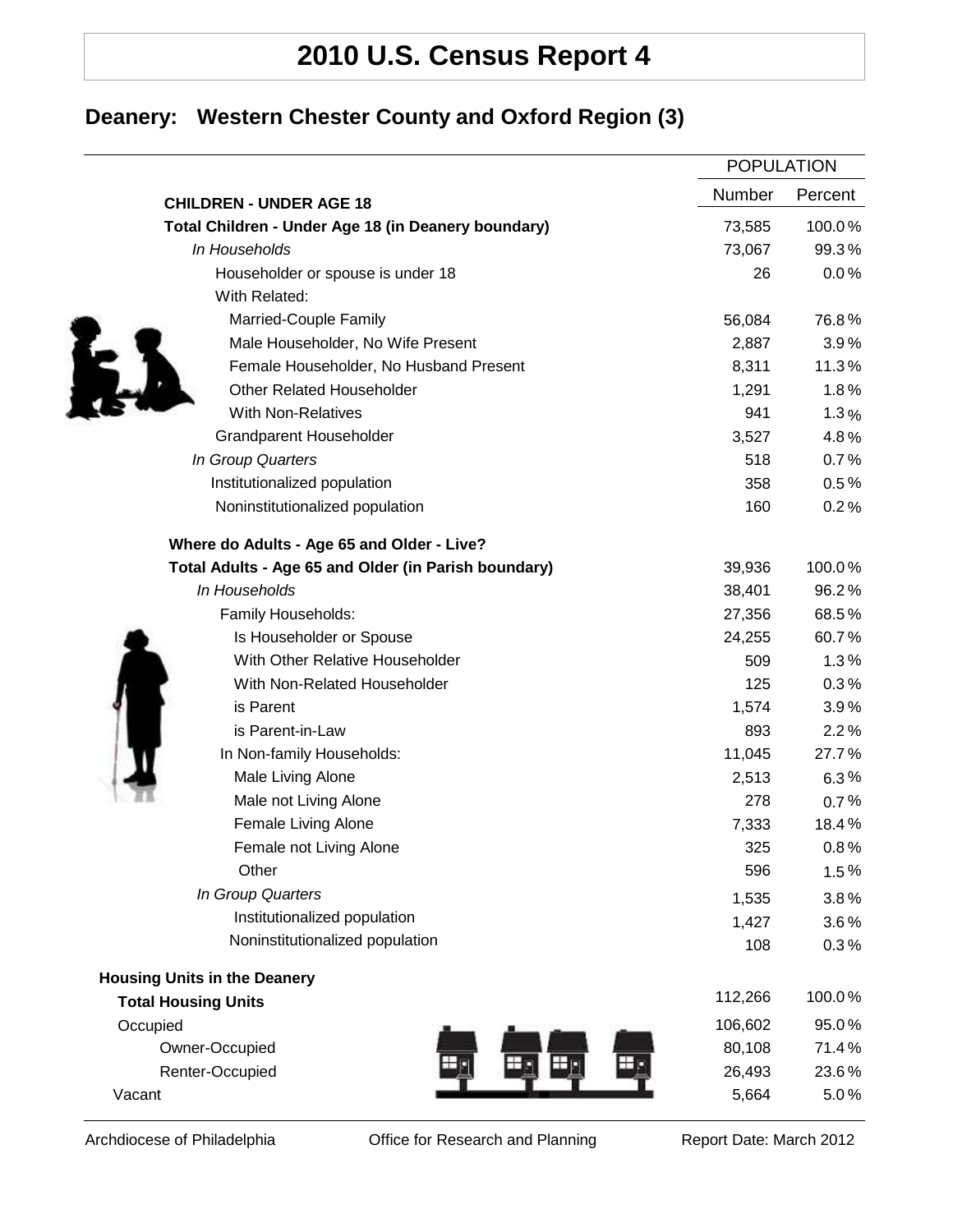# **2010 U.S. Census Report 4**

## **Deanery: Western Chester County and Oxford Region (3)**

|                                                      |               | <b>POPULATION</b> |  |
|------------------------------------------------------|---------------|-------------------|--|
| <b>CHILDREN - UNDER AGE 18</b>                       | <b>Number</b> | Percent           |  |
| Total Children - Under Age 18 (in Deanery boundary)  | 73,585        | 100.0%            |  |
| In Households                                        | 73,067        | 99.3%             |  |
| Householder or spouse is under 18                    | 26            | 0.0%              |  |
| With Related:                                        |               |                   |  |
| Married-Couple Family                                | 56,084        | 76.8%             |  |
| Male Householder, No Wife Present                    | 2,887         | 3.9%              |  |
| Female Householder, No Husband Present               | 8,311         | 11.3%             |  |
| <b>Other Related Householder</b>                     | 1,291         | 1.8%              |  |
| <b>With Non-Relatives</b>                            | 941           | 1.3%              |  |
| <b>Grandparent Householder</b>                       | 3,527         | 4.8%              |  |
| In Group Quarters                                    | 518           | 0.7%              |  |
| Institutionalized population                         | 358           | 0.5%              |  |
| Noninstitutionalized population                      | 160           | 0.2%              |  |
| Where do Adults - Age 65 and Older - Live?           |               |                   |  |
| Total Adults - Age 65 and Older (in Parish boundary) | 39,936        | 100.0%            |  |
| In Households                                        | 38,401        | 96.2%             |  |
| Family Households:                                   | 27,356        | 68.5%             |  |
| Is Householder or Spouse                             | 24,255        | 60.7%             |  |
| With Other Relative Householder                      | 509           | 1.3%              |  |
| With Non-Related Householder                         | 125           | 0.3%              |  |
| is Parent                                            | 1,574         | 3.9%              |  |
| is Parent-in-Law                                     | 893           | 2.2%              |  |
| In Non-family Households:                            | 11,045        | 27.7%             |  |
| Male Living Alone                                    | 2,513         | 6.3%              |  |
| Male not Living Alone                                | 278           | 0.7%              |  |
| Female Living Alone                                  | 7,333         | 18.4%             |  |
| Female not Living Alone                              | 325           | 0.8%              |  |
| Other                                                | 596           | 1.5%              |  |
| In Group Quarters                                    | 1,535         | 3.8%              |  |
| Institutionalized population                         | 1,427         | 3.6%              |  |
| Noninstitutionalized population                      | 108           | 0.3%              |  |
| <b>Housing Units in the Deanery</b>                  |               |                   |  |
| <b>Total Housing Units</b>                           | 112,266       | 100.0%            |  |
| Occupied                                             | 106,602       | 95.0%             |  |
| Owner-Occupied                                       | 80,108        | 71.4%             |  |
| Renter-Occupied                                      | 26,493        | 23.6%             |  |
| Vacant                                               | 5,664         | 5.0%              |  |